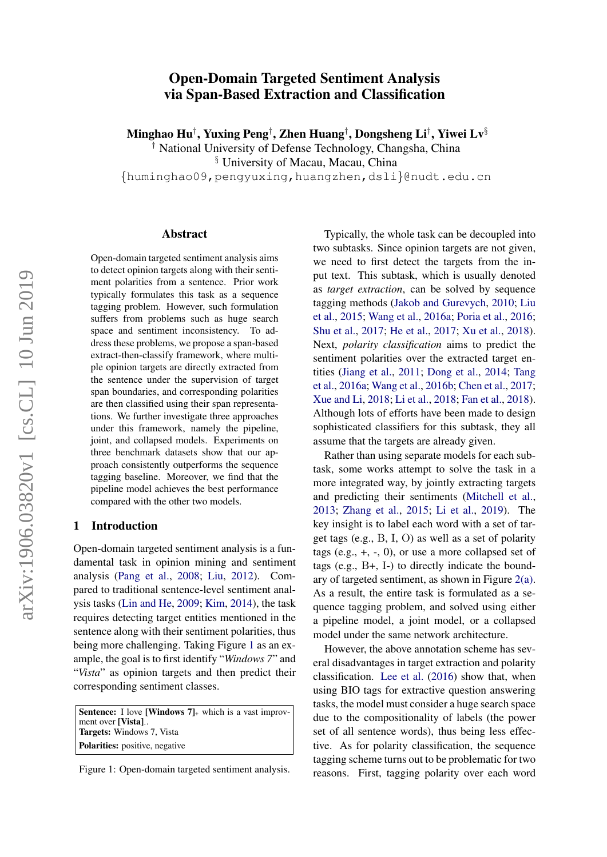# Open-Domain Targeted Sentiment Analysis via Span-Based Extraction and Classification

 $\mathbf{M}$ inghao Hu $^\dagger,$  Yuxing Peng $^\dagger,$  Zhen Huang $^\dagger,$  Dongsheng Li $^\dagger,$  Yiwei Lv $^\S$ 

† National University of Defense Technology, Changsha, China

§ University of Macau, Macau, China

{huminghao09,pengyuxing,huangzhen,dsli}@nudt.edu.cn

#### Abstract

Open-domain targeted sentiment analysis aims to detect opinion targets along with their sentiment polarities from a sentence. Prior work typically formulates this task as a sequence tagging problem. However, such formulation suffers from problems such as huge search space and sentiment inconsistency. To address these problems, we propose a span-based extract-then-classify framework, where multiple opinion targets are directly extracted from the sentence under the supervision of target span boundaries, and corresponding polarities are then classified using their span representations. We further investigate three approaches under this framework, namely the pipeline, joint, and collapsed models. Experiments on three benchmark datasets show that our approach consistently outperforms the sequence tagging baseline. Moreover, we find that the pipeline model achieves the best performance compared with the other two models.

### <span id="page-0-1"></span>1 Introduction

Open-domain targeted sentiment analysis is a fundamental task in opinion mining and sentiment analysis [\(Pang et al.,](#page-8-0) [2008;](#page-8-0) [Liu,](#page-8-1) [2012\)](#page-8-1). Compared to traditional sentence-level sentiment analysis tasks [\(Lin and He,](#page-8-2) [2009;](#page-8-2) [Kim,](#page-8-3) [2014\)](#page-8-3), the task requires detecting target entities mentioned in the sentence along with their sentiment polarities, thus being more challenging. Taking Figure [1](#page-0-0) as an example, the goal is to first identify "*Windows 7*" and "*Vista*" as opinion targets and then predict their corresponding sentiment classes.

<span id="page-0-0"></span>

| <b>Sentence:</b> I love [ <b>Windows</b> $7$ ] <sub>+</sub> which is a vast improv- |
|-------------------------------------------------------------------------------------|
| ment over [ <b>Vista</b> ].                                                         |
| <b>Targets:</b> Windows 7. Vista                                                    |
| <b>Polarities:</b> positive, negative                                               |

Figure 1: Open-domain targeted sentiment analysis.

Typically, the whole task can be decoupled into two subtasks. Since opinion targets are not given, we need to first detect the targets from the input text. This subtask, which is usually denoted as *target extraction*, can be solved by sequence tagging methods [\(Jakob and Gurevych,](#page-8-4) [2010;](#page-8-4) [Liu](#page-8-5) [et al.,](#page-8-5) [2015;](#page-8-5) [Wang et al.,](#page-9-0) [2016a;](#page-9-0) [Poria et al.,](#page-9-1) [2016;](#page-9-1) [Shu et al.,](#page-9-2) [2017;](#page-9-2) [He et al.,](#page-8-6) [2017;](#page-8-6) [Xu et al.,](#page-9-3) [2018\)](#page-9-3). Next, *polarity classification* aims to predict the sentiment polarities over the extracted target entities [\(Jiang et al.,](#page-8-7) [2011;](#page-8-7) [Dong et al.,](#page-8-8) [2014;](#page-8-8) [Tang](#page-9-4) [et al.,](#page-9-4) [2016a;](#page-9-4) [Wang et al.,](#page-9-5) [2016b;](#page-9-5) [Chen et al.,](#page-8-9) [2017;](#page-8-9) [Xue and Li,](#page-9-6) [2018;](#page-9-6) [Li et al.,](#page-8-10) [2018;](#page-8-10) [Fan et al.,](#page-8-11) [2018\)](#page-8-11). Although lots of efforts have been made to design sophisticated classifiers for this subtask, they all assume that the targets are already given.

Rather than using separate models for each subtask, some works attempt to solve the task in a more integrated way, by jointly extracting targets and predicting their sentiments [\(Mitchell et al.,](#page-8-12) [2013;](#page-8-12) [Zhang et al.,](#page-9-7) [2015;](#page-9-7) [Li et al.,](#page-8-13) [2019\)](#page-8-13). The key insight is to label each word with a set of target tags (e.g., B, I, O) as well as a set of polarity tags (e.g.,  $+$ ,  $-$ , 0), or use a more collapsed set of tags (e.g., B+, I-) to directly indicate the boundary of targeted sentiment, as shown in Figure [2\(a\).](#page-1-0) As a result, the entire task is formulated as a sequence tagging problem, and solved using either a pipeline model, a joint model, or a collapsed model under the same network architecture.

However, the above annotation scheme has several disadvantages in target extraction and polarity classification. [Lee et al.](#page-8-14) [\(2016\)](#page-8-14) show that, when using BIO tags for extractive question answering tasks, the model must consider a huge search space due to the compositionality of labels (the power set of all sentence words), thus being less effective. As for polarity classification, the sequence tagging scheme turns out to be problematic for two reasons. First, tagging polarity over each word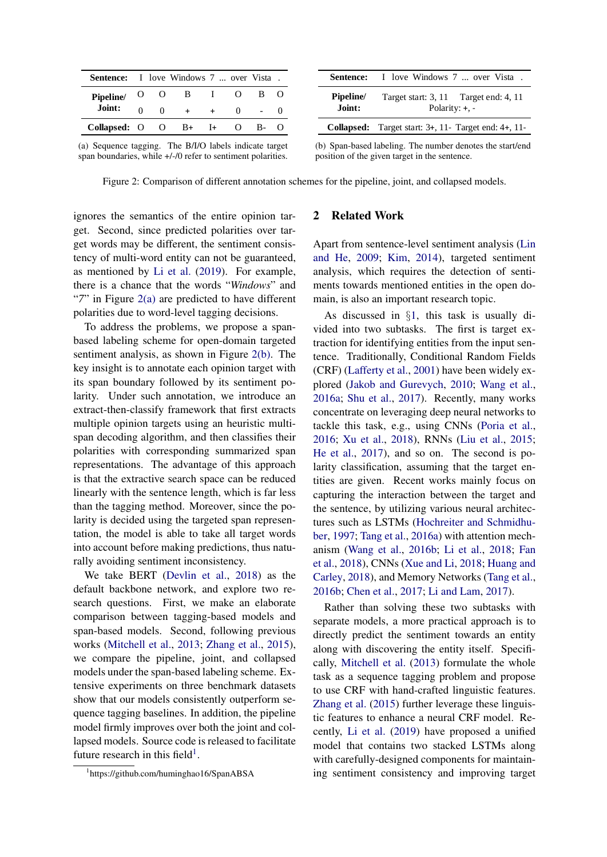<span id="page-1-0"></span>

| Sentence:             |                   | I love Windows 7  over Vista. |     |                                   |              |  |
|-----------------------|-------------------|-------------------------------|-----|-----------------------------------|--------------|--|
| Pipeline/             | $\sigma$ $\sigma$ | $\mathbf{B}$                  |     | <b>Contract Contract Contract</b> | $\mathbf{O}$ |  |
| Joint:                | $\Omega$          |                               |     |                                   | $^{\circ}$   |  |
| Collapsed: $O$ $O$ B+ |                   |                               | $+$ |                                   |              |  |

|                     | <b>Sentence:</b> I love Windows 7  over Vista.                        |
|---------------------|-----------------------------------------------------------------------|
| Pipeline/<br>Joint: | Target start: 3, 11 Target end: 4, 11<br>Polarity: $+$ , $-$          |
|                     | <b>Collapsed:</b> Target start: $3+$ , $11-$ Target end: $4+$ , $11-$ |
|                     | (b) Span-based labeling. The number denotes the start/end             |

<span id="page-1-1"></span>position of the given target in the sentence.

(a) Sequence tagging. The B/I/O labels indicate target span boundaries, while  $+/-/0$  refer to sentiment polarities.

Figure 2: Comparison of different annotation schemes for the pipeline, joint, and collapsed models.

ignores the semantics of the entire opinion target. Second, since predicted polarities over target words may be different, the sentiment consistency of multi-word entity can not be guaranteed, as mentioned by [Li et al.](#page-8-13) [\(2019\)](#page-8-13). For example, there is a chance that the words "*Windows*" and "*7*" in Figure [2\(a\)](#page-1-0) are predicted to have different polarities due to word-level tagging decisions.

To address the problems, we propose a spanbased labeling scheme for open-domain targeted sentiment analysis, as shown in Figure [2\(b\).](#page-1-1) The key insight is to annotate each opinion target with its span boundary followed by its sentiment polarity. Under such annotation, we introduce an extract-then-classify framework that first extracts multiple opinion targets using an heuristic multispan decoding algorithm, and then classifies their polarities with corresponding summarized span representations. The advantage of this approach is that the extractive search space can be reduced linearly with the sentence length, which is far less than the tagging method. Moreover, since the polarity is decided using the targeted span representation, the model is able to take all target words into account before making predictions, thus naturally avoiding sentiment inconsistency.

We take BERT [\(Devlin et al.,](#page-8-15) [2018\)](#page-8-15) as the default backbone network, and explore two research questions. First, we make an elaborate comparison between tagging-based models and span-based models. Second, following previous works [\(Mitchell et al.,](#page-8-12) [2013;](#page-8-12) [Zhang et al.,](#page-9-7) [2015\)](#page-9-7), we compare the pipeline, joint, and collapsed models under the span-based labeling scheme. Extensive experiments on three benchmark datasets show that our models consistently outperform sequence tagging baselines. In addition, the pipeline model firmly improves over both the joint and collapsed models. Source code is released to facilitate future research in this field<sup>[1](#page-1-2)</sup>.

# 2 Related Work

Apart from sentence-level sentiment analysis [\(Lin](#page-8-2) [and He,](#page-8-2) [2009;](#page-8-2) [Kim,](#page-8-3) [2014\)](#page-8-3), targeted sentiment analysis, which requires the detection of sentiments towards mentioned entities in the open domain, is also an important research topic.

As discussed in §[1,](#page-0-1) this task is usually divided into two subtasks. The first is target extraction for identifying entities from the input sentence. Traditionally, Conditional Random Fields (CRF) [\(Lafferty et al.,](#page-8-16) [2001\)](#page-8-16) have been widely explored [\(Jakob and Gurevych,](#page-8-4) [2010;](#page-8-4) [Wang et al.,](#page-9-0) [2016a;](#page-9-0) [Shu et al.,](#page-9-2) [2017\)](#page-9-2). Recently, many works concentrate on leveraging deep neural networks to tackle this task, e.g., using CNNs [\(Poria et al.,](#page-9-1) [2016;](#page-9-1) [Xu et al.,](#page-9-3) [2018\)](#page-9-3), RNNs [\(Liu et al.,](#page-8-5) [2015;](#page-8-5) [He et al.,](#page-8-6) [2017\)](#page-8-6), and so on. The second is polarity classification, assuming that the target entities are given. Recent works mainly focus on capturing the interaction between the target and the sentence, by utilizing various neural architectures such as LSTMs [\(Hochreiter and Schmidhu](#page-8-17)[ber,](#page-8-17) [1997;](#page-8-17) [Tang et al.,](#page-9-4) [2016a\)](#page-9-4) with attention mechanism [\(Wang et al.,](#page-9-5) [2016b;](#page-9-5) [Li et al.,](#page-8-10) [2018;](#page-8-10) [Fan](#page-8-11) [et al.,](#page-8-11) [2018\)](#page-8-11), CNNs [\(Xue and Li,](#page-9-6) [2018;](#page-9-6) [Huang and](#page-8-18) [Carley,](#page-8-18) [2018\)](#page-8-18), and Memory Networks [\(Tang et al.,](#page-9-8) [2016b;](#page-9-8) [Chen et al.,](#page-8-9) [2017;](#page-8-9) [Li and Lam,](#page-8-19) [2017\)](#page-8-19).

Rather than solving these two subtasks with separate models, a more practical approach is to directly predict the sentiment towards an entity along with discovering the entity itself. Specifically, [Mitchell et al.](#page-8-12) [\(2013\)](#page-8-12) formulate the whole task as a sequence tagging problem and propose to use CRF with hand-crafted linguistic features. [Zhang et al.](#page-9-7) [\(2015\)](#page-9-7) further leverage these linguistic features to enhance a neural CRF model. Recently, [Li et al.](#page-8-13) [\(2019\)](#page-8-13) have proposed a unified model that contains two stacked LSTMs along with carefully-designed components for maintaining sentiment consistency and improving target

<span id="page-1-2"></span><sup>1</sup> https://github.com/huminghao16/SpanABSA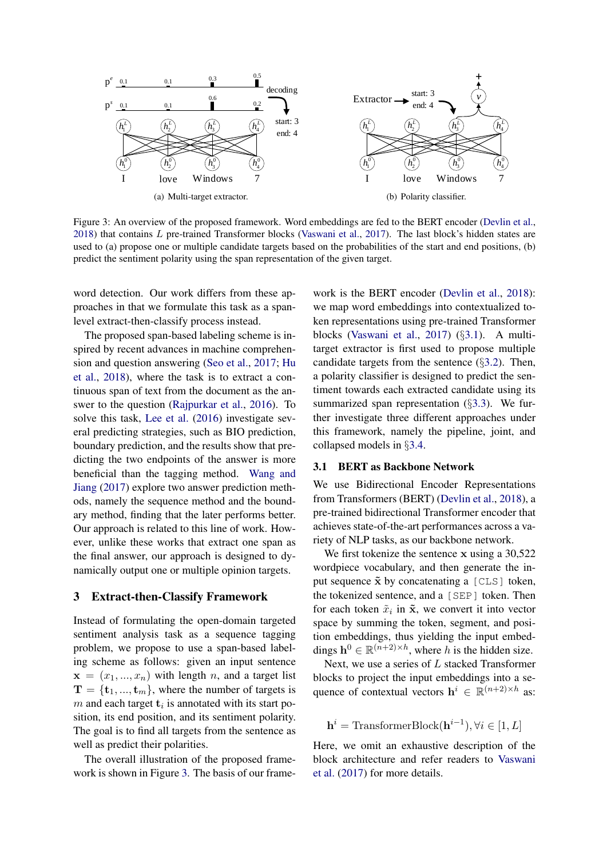<span id="page-2-2"></span><span id="page-2-0"></span>

Figure 3: An overview of the proposed framework. Word embeddings are fed to the BERT encoder [\(Devlin et al.,](#page-8-15) [2018\)](#page-8-15) that contains L pre-trained Transformer blocks [\(Vaswani et al.,](#page-9-9) [2017\)](#page-9-9). The last block's hidden states are used to (a) propose one or multiple candidate targets based on the probabilities of the start and end positions, (b) predict the sentiment polarity using the span representation of the given target.

word detection. Our work differs from these approaches in that we formulate this task as a spanlevel extract-then-classify process instead.

The proposed span-based labeling scheme is inspired by recent advances in machine comprehension and question answering [\(Seo et al.,](#page-9-10) [2017;](#page-9-10) [Hu](#page-8-20) [et al.,](#page-8-20) [2018\)](#page-8-20), where the task is to extract a continuous span of text from the document as the answer to the question [\(Rajpurkar et al.,](#page-9-11) [2016\)](#page-9-11). To solve this task, [Lee et al.](#page-8-14) [\(2016\)](#page-8-14) investigate several predicting strategies, such as BIO prediction, boundary prediction, and the results show that predicting the two endpoints of the answer is more beneficial than the tagging method. [Wang and](#page-9-12) [Jiang](#page-9-12) [\(2017\)](#page-9-12) explore two answer prediction methods, namely the sequence method and the boundary method, finding that the later performs better. Our approach is related to this line of work. However, unlike these works that extract one span as the final answer, our approach is designed to dynamically output one or multiple opinion targets.

#### 3 Extract-then-Classify Framework

Instead of formulating the open-domain targeted sentiment analysis task as a sequence tagging problem, we propose to use a span-based labeling scheme as follows: given an input sentence  $\mathbf{x} = (x_1, ..., x_n)$  with length n, and a target list  $\mathbf{T} = {\mathbf{t}_1, ..., \mathbf{t}_m}$ , where the number of targets is  $m$  and each target  $t_i$  is annotated with its start position, its end position, and its sentiment polarity. The goal is to find all targets from the sentence as well as predict their polarities.

The overall illustration of the proposed framework is shown in Figure [3.](#page-2-0) The basis of our frame-

<span id="page-2-3"></span>work is the BERT encoder [\(Devlin et al.,](#page-8-15) [2018\)](#page-8-15): we map word embeddings into contextualized token representations using pre-trained Transformer blocks [\(Vaswani et al.,](#page-9-9) [2017\)](#page-9-9) (§[3.1\)](#page-2-1). A multitarget extractor is first used to propose multiple candidate targets from the sentence  $(\S3.2)$  $(\S3.2)$ . Then, a polarity classifier is designed to predict the sentiment towards each extracted candidate using its summarized span representation  $(\S3.3)$  $(\S3.3)$ . We further investigate three different approaches under this framework, namely the pipeline, joint, and collapsed models in §[3.4.](#page-4-0)

## <span id="page-2-1"></span>3.1 BERT as Backbone Network

We use Bidirectional Encoder Representations from Transformers (BERT) [\(Devlin et al.,](#page-8-15) [2018\)](#page-8-15), a pre-trained bidirectional Transformer encoder that achieves state-of-the-art performances across a variety of NLP tasks, as our backbone network.

We first tokenize the sentence x using a 30,522 wordpiece vocabulary, and then generate the input sequence  $\tilde{x}$  by concatenating a [CLS] token, the tokenized sentence, and a [SEP] token. Then for each token  $\tilde{x}_i$  in  $\tilde{x}_i$ , we convert it into vector space by summing the token, segment, and position embeddings, thus yielding the input embeddings  $h^0 \in \mathbb{R}^{(n+2) \times h}$ , where h is the hidden size.

Next, we use a series of L stacked Transformer blocks to project the input embeddings into a sequence of contextual vectors  $h^i \in \mathbb{R}^{(n+2)\times h}$  as:

 $\mathbf{h}^i = \text{TransformerBlock}(\mathbf{h}^{i-1}), \forall i \in [1, L]$ 

Here, we omit an exhaustive description of the block architecture and refer readers to [Vaswani](#page-9-9) [et al.](#page-9-9) [\(2017\)](#page-9-9) for more details.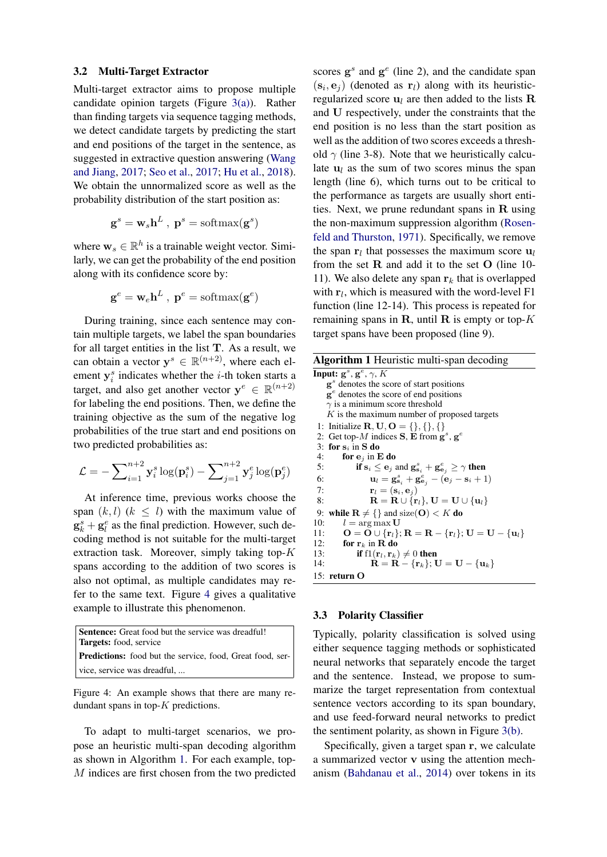#### <span id="page-3-0"></span>3.2 Multi-Target Extractor

Multi-target extractor aims to propose multiple candidate opinion targets (Figure [3\(a\)\)](#page-2-2). Rather than finding targets via sequence tagging methods, we detect candidate targets by predicting the start and end positions of the target in the sentence, as suggested in extractive question answering [\(Wang](#page-9-12) [and Jiang,](#page-9-12) [2017;](#page-9-12) [Seo et al.,](#page-9-10) [2017;](#page-9-10) [Hu et al.,](#page-8-20) [2018\)](#page-8-20). We obtain the unnormalized score as well as the probability distribution of the start position as:

$$
\mathbf{g}^s = \mathbf{w}_s \mathbf{h}^L \ , \ \mathbf{p}^s = \text{softmax}(\mathbf{g}^s)
$$

where  $w_s \in \mathbb{R}^h$  is a trainable weight vector. Similarly, we can get the probability of the end position along with its confidence score by:

$$
\mathbf{g}^e = \mathbf{w}_e \mathbf{h}^L \ , \ \mathbf{p}^e = \text{softmax}(\mathbf{g}^e)
$$

During training, since each sentence may contain multiple targets, we label the span boundaries for all target entities in the list  $T$ . As a result, we can obtain a vector  $y^s \in \mathbb{R}^{(n+2)}$ , where each element  $y_i^s$  indicates whether the *i*-th token starts a target, and also get another vector  $y^e \in \mathbb{R}^{(n+2)}$ for labeling the end positions. Then, we define the training objective as the sum of the negative log probabilities of the true start and end positions on two predicted probabilities as:

$$
\mathcal{L} = -\sum_{i=1}^{n+2} \mathbf{y}_i^s \log(\mathbf{p}_i^s) - \sum_{j=1}^{n+2} \mathbf{y}_j^e \log(\mathbf{p}_j^e)
$$

At inference time, previous works choose the span  $(k, l)$   $(k \leq l)$  with the maximum value of  $\mathbf{g}_k^s + \mathbf{g}_l^e$  as the final prediction. However, such decoding method is not suitable for the multi-target extraction task. Moreover, simply taking top-K spans according to the addition of two scores is also not optimal, as multiple candidates may refer to the same text. Figure [4](#page-3-2) gives a qualitative example to illustrate this phenomenon.

<span id="page-3-2"></span>

| Sentence: Great food but the service was dreadful!               |
|------------------------------------------------------------------|
| <b>Targets:</b> food, service                                    |
| <b>Predictions:</b> food but the service, food, Great food, ser- |
| vice, service was dreadful,                                      |

Figure 4: An example shows that there are many redundant spans in top-K predictions.

To adapt to multi-target scenarios, we propose an heuristic multi-span decoding algorithm as shown in Algorithm [1.](#page-3-3) For each example, top-M indices are first chosen from the two predicted

scores  $g^s$  and  $g^e$  (line 2), and the candidate span  $(\mathbf{s}_i, \mathbf{e}_j)$  (denoted as  $\mathbf{r}_l$ ) along with its heuristicregularized score  $\mathbf{u}_l$  are then added to the lists  $\mathbf R$ and U respectively, under the constraints that the end position is no less than the start position as well as the addition of two scores exceeds a threshold  $\gamma$  (line 3-8). Note that we heuristically calculate  $u_l$  as the sum of two scores minus the span length (line 6), which turns out to be critical to the performance as targets are usually short entities. Next, we prune redundant spans in R using the non-maximum suppression algorithm [\(Rosen](#page-9-13)[feld and Thurston,](#page-9-13) [1971\)](#page-9-13). Specifically, we remove the span  $r_l$  that possesses the maximum score  $u_l$ from the set  $R$  and add it to the set  $O$  (line 10-11). We also delete any span  $r_k$  that is overlapped with  $r_l$ , which is measured with the word-level F1 function (line 12-14). This process is repeated for remaining spans in  $\bf R$ , until  $\bf R$  is empty or top- $K$ target spans have been proposed (line 9).

<span id="page-3-3"></span>

| <b>Algorithm 1</b> Heuristic multi-span decoding                                                                     |
|----------------------------------------------------------------------------------------------------------------------|
| Input: $g^s$ , $g^e$ , $\gamma$ , K                                                                                  |
| $\mathbf{g}^s$ denotes the score of start positions                                                                  |
| $\mathbf{g}^e$ denotes the score of end positions                                                                    |
| $\gamma$ is a minimum score threshold                                                                                |
| $K$ is the maximum number of proposed targets                                                                        |
| 1: Initialize <b>R</b> , <b>U</b> , <b>O</b> = {}, {}, {}                                                            |
| 2: Get top- $M$ indices <b>S</b> , <b>E</b> from $\mathbf{g}^s$ , $\mathbf{g}^e$                                     |
| 3: for $s_i$ in S do                                                                                                 |
| for $e_i$ in E do<br>4:                                                                                              |
| if $s_i \leq e_j$ and $g_{s_i}^s + g_{e_j}^e \geq \gamma$ then<br>5:                                                 |
| $\mathbf{u}_l = \mathbf{g}_{\mathbf{s}_i}^s + \mathbf{g}_{\mathbf{e}_i}^e - (\mathbf{e}_j - \mathbf{s}_i + 1)$<br>6: |
| $\mathbf{r}_l = (\mathbf{s}_i, \mathbf{e}_i)$<br>7:                                                                  |
| $\mathbf{R} = \mathbf{R} \cup \{\mathbf{r}_l\}, \mathbf{U} = \mathbf{U} \cup \{\mathbf{u}_l\}$<br>8:                 |
| while $\mathbf{R} \neq \{\}$ and size( $\mathbf{O}$ ) < K do<br>9:                                                   |
| $l = \arg \max \mathbf{U}$<br>10:                                                                                    |
| $O = O \cup \{r_l\}; R = R - \{r_l\}; U = U - \{u_l\}$<br>11:                                                        |
| 12:<br>for $r_k$ in R do                                                                                             |
| <b>if</b> $f1(r_l, r_k) \neq 0$ then<br>13:                                                                          |
| $\mathbf{R} = \mathbf{R} - {\mathbf{r}_k}; \mathbf{U} = \mathbf{U} - {\mathbf{u}_k}$<br>14:                          |
| $15:$ return O                                                                                                       |

# <span id="page-3-1"></span>3.3 Polarity Classifier

Typically, polarity classification is solved using either sequence tagging methods or sophisticated neural networks that separately encode the target and the sentence. Instead, we propose to summarize the target representation from contextual sentence vectors according to its span boundary, and use feed-forward neural networks to predict the sentiment polarity, as shown in Figure [3\(b\).](#page-2-3)

Specifically, given a target span r, we calculate a summarized vector v using the attention mechanism [\(Bahdanau et al.,](#page-8-21) [2014\)](#page-8-21) over tokens in its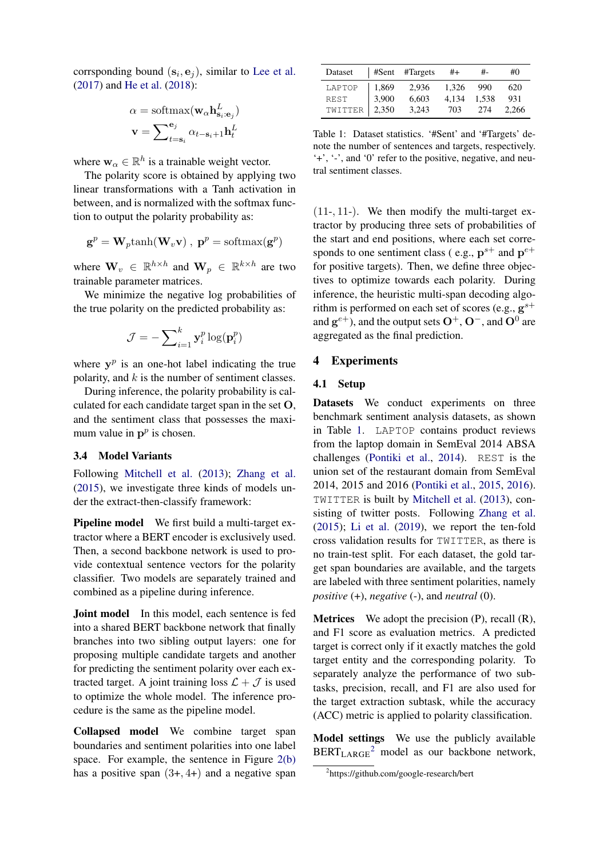corrsponding bound  $(s_i, e_j)$ , similar to [Lee et al.](#page-8-22) [\(2017\)](#page-8-22) and [He et al.](#page-8-23) [\(2018\)](#page-8-23):

$$
\alpha = \text{softmax}(\mathbf{w}_{\alpha} \mathbf{h}_{\mathbf{s}_i : \mathbf{e}_j}^L)
$$

$$
\mathbf{v} = \sum_{t=s_i}^{e_j} \alpha_{t-s_i+1} \mathbf{h}_t^L
$$

where  $\mathbf{w}_{\alpha} \in \mathbb{R}^{h}$  is a trainable weight vector.

The polarity score is obtained by applying two linear transformations with a Tanh activation in between, and is normalized with the softmax function to output the polarity probability as:

$$
\mathbf{g}^p = \mathbf{W}_p \text{tanh}(\mathbf{W}_v \mathbf{v}), \ \mathbf{p}^p = \text{softmax}(\mathbf{g}^p)
$$

where  $\mathbf{W}_v \in \mathbb{R}^{h \times h}$  and  $\mathbf{W}_p \in \mathbb{R}^{k \times h}$  are two trainable parameter matrices.

We minimize the negative log probabilities of the true polarity on the predicted probability as:

$$
\mathcal{J} = -\sum\nolimits_{i=1}^k \mathbf{y}_i^p \log(\mathbf{p}_i^p)
$$

where  $y^p$  is an one-hot label indicating the true polarity, and  $k$  is the number of sentiment classes.

During inference, the polarity probability is calculated for each candidate target span in the set O, and the sentiment class that possesses the maximum value in  $p^p$  is chosen.

# <span id="page-4-0"></span>3.4 Model Variants

Following [Mitchell et al.](#page-8-12) [\(2013\)](#page-8-12); [Zhang et al.](#page-9-7) [\(2015\)](#page-9-7), we investigate three kinds of models under the extract-then-classify framework:

Pipeline model We first build a multi-target extractor where a BERT encoder is exclusively used. Then, a second backbone network is used to provide contextual sentence vectors for the polarity classifier. Two models are separately trained and combined as a pipeline during inference.

**Joint model** In this model, each sentence is fed into a shared BERT backbone network that finally branches into two sibling output layers: one for proposing multiple candidate targets and another for predicting the sentiment polarity over each extracted target. A joint training loss  $\mathcal{L} + \mathcal{J}$  is used to optimize the whole model. The inference procedure is the same as the pipeline model.

Collapsed model We combine target span boundaries and sentiment polarities into one label space. For example, the sentence in Figure [2\(b\)](#page-1-1) has a positive span  $(3+, 4+)$  and a negative span

<span id="page-4-1"></span>

| Dataset         |       | #Sent #Targets | $#+$  | #-    | #0    |
|-----------------|-------|----------------|-------|-------|-------|
| LAPTOP          | 1,869 | 2.936          | 1.326 | 990   | 620   |
| <b>REST</b>     | 3,900 | 6.603          | 4.134 | 1.538 | 931   |
| TWITTER   2,350 |       | 3.243          | 703   | 274   | 2.266 |

Table 1: Dataset statistics. '#Sent' and '#Targets' denote the number of sentences and targets, respectively. '+', '-', and '0' refer to the positive, negative, and neutral sentiment classes.

(11-, 11-). We then modify the multi-target extractor by producing three sets of probabilities of the start and end positions, where each set corresponds to one sentiment class (e.g.,  $p^{s+}$  and  $p^{e+}$ for positive targets). Then, we define three objectives to optimize towards each polarity. During inference, the heuristic multi-span decoding algorithm is performed on each set of scores (e.g.,  $g^{s+}$ and  $g^{e+}$ ), and the output sets  $O^+, O^-,$  and  $O^0$  are aggregated as the final prediction.

# 4 Experiments

# 4.1 Setup

Datasets We conduct experiments on three benchmark sentiment analysis datasets, as shown in Table [1.](#page-4-1) LAPTOP contains product reviews from the laptop domain in SemEval 2014 ABSA challenges [\(Pontiki et al.,](#page-9-14) [2014\)](#page-9-14). REST is the union set of the restaurant domain from SemEval 2014, 2015 and 2016 [\(Pontiki et al.,](#page-8-24) [2015,](#page-8-24) [2016\)](#page-8-25). TWITTER is built by [Mitchell et al.](#page-8-12) [\(2013\)](#page-8-12), consisting of twitter posts. Following [Zhang et al.](#page-9-7) [\(2015\)](#page-9-7); [Li et al.](#page-8-13) [\(2019\)](#page-8-13), we report the ten-fold cross validation results for TWITTER, as there is no train-test split. For each dataset, the gold target span boundaries are available, and the targets are labeled with three sentiment polarities, namely *positive* (+), *negative* (-), and *neutral* (0).

**Metrices** We adopt the precision  $(P)$ , recall  $(R)$ , and F1 score as evaluation metrics. A predicted target is correct only if it exactly matches the gold target entity and the corresponding polarity. To separately analyze the performance of two subtasks, precision, recall, and F1 are also used for the target extraction subtask, while the accuracy (ACC) metric is applied to polarity classification.

Model settings We use the publicly available  $BERT_{LARGE}^2$  $BERT_{LARGE}^2$  model as our backbone network,

<span id="page-4-2"></span><sup>2</sup> https://github.com/google-research/bert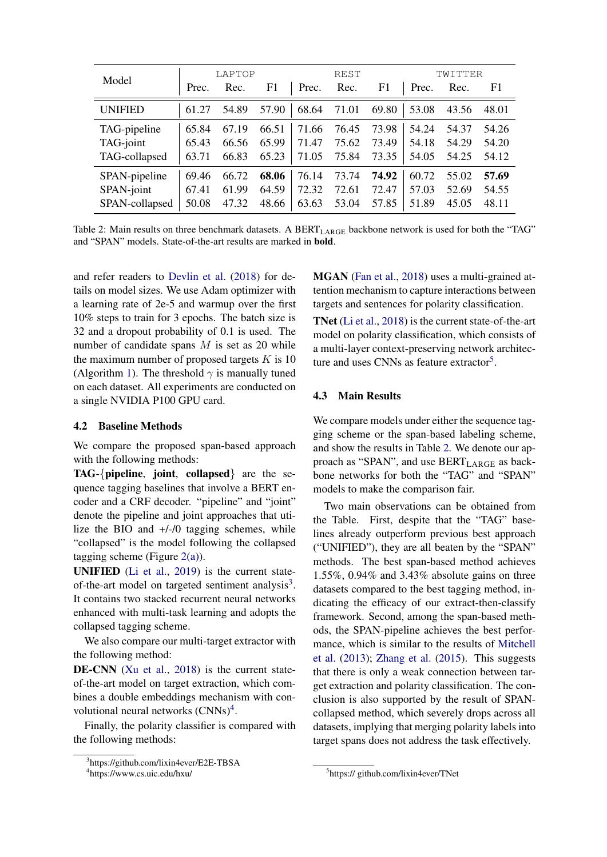<span id="page-5-3"></span>

|                |       | LAPTOP |       |       | REST  |                |       | TWITTER |       |
|----------------|-------|--------|-------|-------|-------|----------------|-------|---------|-------|
| Model          | Prec. | Rec.   | F1    | Prec. | Rec.  | F <sub>1</sub> | Prec. | Rec.    | F1    |
| <b>UNIFIED</b> | 61.27 | 54.89  | 57.90 | 68.64 | 71.01 | 69.80          | 53.08 | 43.56   | 48.01 |
| TAG-pipeline   | 65.84 | 67.19  | 66.51 | 71.66 | 76.45 | 73.98          | 54.24 | 54.37   | 54.26 |
| TAG-joint      | 65.43 | 66.56  | 65.99 | 71.47 | 75.62 | 73.49          | 54.18 | 54.29   | 54.20 |
| TAG-collapsed  | 63.71 | 66.83  | 65.23 | 71.05 | 75.84 | 73.35          | 54.05 | 54.25   | 54.12 |
| SPAN-pipeline  | 69.46 | 66.72  | 68.06 | 76.14 | 73.74 | 74.92          | 60.72 | 55.02   | 57.69 |
| SPAN-joint     | 67.41 | 61.99  | 64.59 | 72.32 | 72.61 | 72.47          | 57.03 | 52.69   | 54.55 |
| SPAN-collapsed | 50.08 | 47.32  | 48.66 | 63.63 | 53.04 | 57.85          | 51.89 | 45.05   | 48.11 |

Table 2: Main results on three benchmark datasets. A BERT<sub>LARGE</sub> backbone network is used for both the "TAG" and "SPAN" models. State-of-the-art results are marked in bold.

and refer readers to [Devlin et al.](#page-8-15) [\(2018\)](#page-8-15) for details on model sizes. We use Adam optimizer with a learning rate of 2e-5 and warmup over the first 10% steps to train for 3 epochs. The batch size is 32 and a dropout probability of 0.1 is used. The number of candidate spans  $M$  is set as 20 while the maximum number of proposed targets  $K$  is 10 (Algorithm [1\)](#page-3-3). The threshold  $\gamma$  is manually tuned on each dataset. All experiments are conducted on a single NVIDIA P100 GPU card.

### 4.2 Baseline Methods

We compare the proposed span-based approach with the following methods:

TAG-{pipeline, joint, collapsed} are the sequence tagging baselines that involve a BERT encoder and a CRF decoder. "pipeline" and "joint" denote the pipeline and joint approaches that utilize the BIO and +/-/0 tagging schemes, while "collapsed" is the model following the collapsed tagging scheme (Figure  $2(a)$ ).

UNIFIED [\(Li et al.,](#page-8-13) [2019\)](#page-8-13) is the current stateof-the-art model on targeted sentiment analysis $3$ . It contains two stacked recurrent neural networks enhanced with multi-task learning and adopts the collapsed tagging scheme.

We also compare our multi-target extractor with the following method:

DE-CNN [\(Xu et al.,](#page-9-3) [2018\)](#page-9-3) is the current stateof-the-art model on target extraction, which combines a double embeddings mechanism with convolutional neural networks  $(CNNs)^4$  $(CNNs)^4$ .

Finally, the polarity classifier is compared with the following methods:

MGAN [\(Fan et al.,](#page-8-11) [2018\)](#page-8-11) uses a multi-grained attention mechanism to capture interactions between targets and sentences for polarity classification.

TNet [\(Li et al.,](#page-8-10) [2018\)](#page-8-10) is the current state-of-the-art model on polarity classification, which consists of a multi-layer context-preserving network architec-ture and uses CNNs as feature extractor<sup>[5](#page-5-2)</sup>.

# 4.3 Main Results

We compare models under either the sequence tagging scheme or the span-based labeling scheme, and show the results in Table [2.](#page-5-3) We denote our approach as "SPAN", and use  $BERT_{LARGE}$  as backbone networks for both the "TAG" and "SPAN" models to make the comparison fair.

Two main observations can be obtained from the Table. First, despite that the "TAG" baselines already outperform previous best approach ("UNIFIED"), they are all beaten by the "SPAN" methods. The best span-based method achieves 1.55%, 0.94% and 3.43% absolute gains on three datasets compared to the best tagging method, indicating the efficacy of our extract-then-classify framework. Second, among the span-based methods, the SPAN-pipeline achieves the best performance, which is similar to the results of [Mitchell](#page-8-12) [et al.](#page-8-12) [\(2013\)](#page-8-12); [Zhang et al.](#page-9-7) [\(2015\)](#page-9-7). This suggests that there is only a weak connection between target extraction and polarity classification. The conclusion is also supported by the result of SPANcollapsed method, which severely drops across all datasets, implying that merging polarity labels into target spans does not address the task effectively.

<span id="page-5-0"></span><sup>3</sup> https://github.com/lixin4ever/E2E-TBSA

<span id="page-5-1"></span><sup>4</sup> https://www.cs.uic.edu/hxu/

<span id="page-5-2"></span><sup>5</sup> https:// github.com/lixin4ever/TNet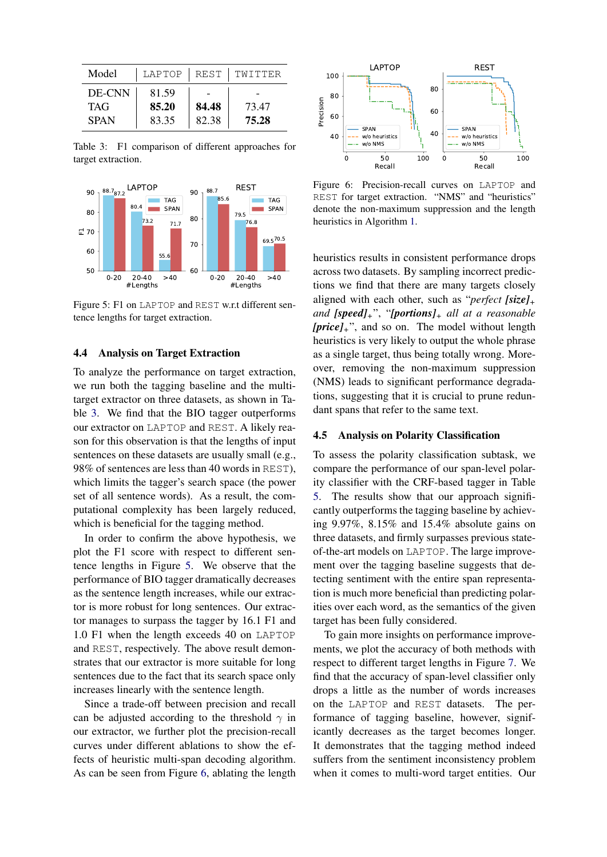<span id="page-6-0"></span>

| Model                               |                         |                | LAPTOP   REST   TWITTER |
|-------------------------------------|-------------------------|----------------|-------------------------|
| DE-CNN<br><b>TAG</b><br><b>SPAN</b> | 81.59<br>85.20<br>83.35 | 84.48<br>82.38 | 73.47<br>75.28          |

Table 3: F1 comparison of different approaches for target extraction.

<span id="page-6-1"></span>

Figure 5: F1 on LAPTOP and REST w.r.t different sentence lengths for target extraction.

#### 4.4 Analysis on Target Extraction

To analyze the performance on target extraction, we run both the tagging baseline and the multitarget extractor on three datasets, as shown in Table [3.](#page-6-0) We find that the BIO tagger outperforms our extractor on LAPTOP and REST. A likely reason for this observation is that the lengths of input sentences on these datasets are usually small (e.g., 98% of sentences are less than 40 words in REST), which limits the tagger's search space (the power set of all sentence words). As a result, the computational complexity has been largely reduced, which is beneficial for the tagging method.

In order to confirm the above hypothesis, we plot the F1 score with respect to different sentence lengths in Figure [5.](#page-6-1) We observe that the performance of BIO tagger dramatically decreases as the sentence length increases, while our extractor is more robust for long sentences. Our extractor manages to surpass the tagger by 16.1 F1 and 1.0 F1 when the length exceeds 40 on LAPTOP and REST, respectively. The above result demonstrates that our extractor is more suitable for long sentences due to the fact that its search space only increases linearly with the sentence length.

Since a trade-off between precision and recall can be adjusted according to the threshold  $\gamma$  in our extractor, we further plot the precision-recall curves under different ablations to show the effects of heuristic multi-span decoding algorithm. As can be seen from Figure [6,](#page-6-2) ablating the length

<span id="page-6-2"></span>

Figure 6: Precision-recall curves on LAPTOP and REST for target extraction. "NMS" and "heuristics" denote the non-maximum suppression and the length heuristics in Algorithm [1.](#page-3-3)

heuristics results in consistent performance drops across two datasets. By sampling incorrect predictions we find that there are many targets closely aligned with each other, such as "*perfect [size]<sup>+</sup> and [speed]+*", "*[portions]<sup>+</sup> all at a reasonable [price]+*", and so on. The model without length heuristics is very likely to output the whole phrase as a single target, thus being totally wrong. Moreover, removing the non-maximum suppression (NMS) leads to significant performance degradations, suggesting that it is crucial to prune redundant spans that refer to the same text.

### 4.5 Analysis on Polarity Classification

To assess the polarity classification subtask, we compare the performance of our span-level polarity classifier with the CRF-based tagger in Table [5.](#page-7-0) The results show that our approach significantly outperforms the tagging baseline by achieving 9.97%, 8.15% and 15.4% absolute gains on three datasets, and firmly surpasses previous stateof-the-art models on LAPTOP. The large improvement over the tagging baseline suggests that detecting sentiment with the entire span representation is much more beneficial than predicting polarities over each word, as the semantics of the given target has been fully considered.

To gain more insights on performance improvements, we plot the accuracy of both methods with respect to different target lengths in Figure [7.](#page-7-1) We find that the accuracy of span-level classifier only drops a little as the number of words increases on the LAPTOP and REST datasets. The performance of tagging baseline, however, significantly decreases as the target becomes longer. It demonstrates that the tagging method indeed suffers from the sentiment inconsistency problem when it comes to multi-word target entities. Our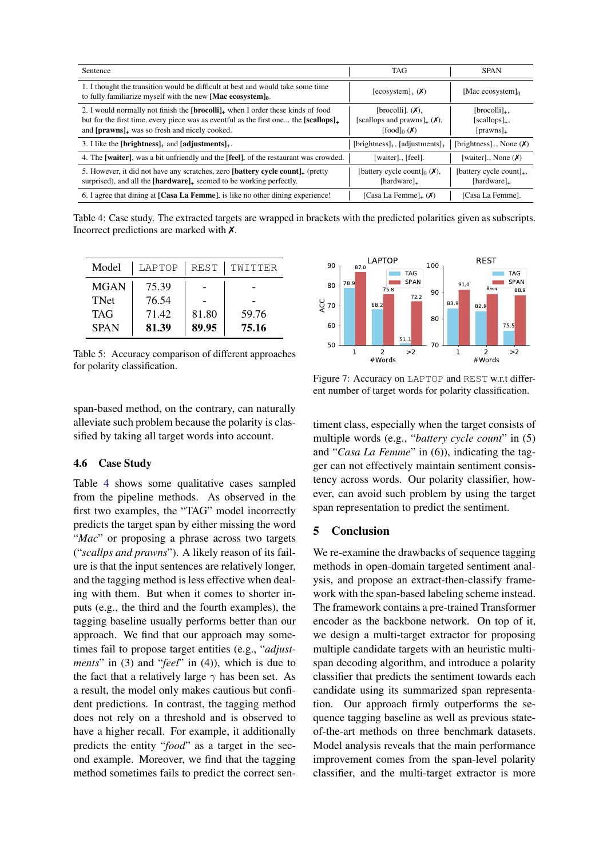<span id="page-7-2"></span>

| Sentence                                                                                                                                                                                                                                   | TAG                                                                            | <b>SPAN</b>                                                     |
|--------------------------------------------------------------------------------------------------------------------------------------------------------------------------------------------------------------------------------------------|--------------------------------------------------------------------------------|-----------------------------------------------------------------|
| 1. I thought the transition would be difficult at best and would take some time<br>to fully familiarize myself with the new [Mac ecosystem] $0$ .                                                                                          | $[ecosystem]_{+}(\boldsymbol{X})$                                              | [Mac ecosystem] $_0$                                            |
| 2. I would normally not finish the $[brocolli]$ , when I order these kinds of food<br>but for the first time, every piece was as eventful as the first one the $[scallops]_+$<br>and $[\text{prawns}]_{+}$ was so fresh and nicely cooked. | [brocolli]. $(X)$ ,<br>[scallops and prawns] $_+$ ( $\chi$ ),<br>$[food]_0(X)$ | $[brocolli]_{+}$ ,<br>$[scallops]_{+}$ ,<br>$[\text{prawns}]_+$ |
| 3. I like the $[brichteness]_{+}$ and $[adjustments]_{+}$ .                                                                                                                                                                                | $[brighthesis]_{+}$ , $[adjustments]_{+}$                                      | [brightness] <sub>+</sub> , None $(X)$                          |
| 4. The [waiter], was a bit unfriendly and the [feel], of the restaurant was crowded.                                                                                                                                                       | [waiter]., [feel].                                                             | [waiter] None $(X)$                                             |
| 5. However, it did not have any scratches, zero [battery cycle count] $_{+}$ (pretty<br>surprised), and all the $[hardware]_+$ seemed to be working perfectly.                                                                             | [battery cycle count] <sub>0</sub> ( $\chi$ ),<br>[hardware] $+$               | [battery cycle count] $_{+}$ ,<br>[hardware] $+$                |
| 6. I agree that dining at [Casa La Femme], is like no other dining experience!                                                                                                                                                             | [Casa La Femme] <sub>+</sub> $(X)$                                             | [Casa La Femme].                                                |

Table 4: Case study. The extracted targets are wrapped in brackets with the predicted polarities given as subscripts. Incorrect predictions are marked with  $\chi$ .

<span id="page-7-0"></span>

| Model       | LAPTOP | <b>REST</b> | TWITTER |
|-------------|--------|-------------|---------|
| <b>MGAN</b> | 75.39  |             |         |
| <b>TNet</b> | 76.54  |             |         |
| <b>TAG</b>  | 71.42  | 81.80       | 59.76   |
| <b>SPAN</b> | 81.39  | 89.95       | 75.16   |

Table 5: Accuracy comparison of different approaches for polarity classification.

span-based method, on the contrary, can naturally alleviate such problem because the polarity is classified by taking all target words into account.

# 4.6 Case Study

Table [4](#page-7-2) shows some qualitative cases sampled from the pipeline methods. As observed in the first two examples, the "TAG" model incorrectly predicts the target span by either missing the word "*Mac*" or proposing a phrase across two targets ("*scallps and prawns*"). A likely reason of its failure is that the input sentences are relatively longer, and the tagging method is less effective when dealing with them. But when it comes to shorter inputs (e.g., the third and the fourth examples), the tagging baseline usually performs better than our approach. We find that our approach may sometimes fail to propose target entities (e.g., "*adjustments*" in (3) and "*feel*" in (4)), which is due to the fact that a relatively large  $\gamma$  has been set. As a result, the model only makes cautious but confident predictions. In contrast, the tagging method does not rely on a threshold and is observed to have a higher recall. For example, it additionally predicts the entity "*food*" as a target in the second example. Moreover, we find that the tagging method sometimes fails to predict the correct sen-

<span id="page-7-1"></span>

Figure 7: Accuracy on LAPTOP and REST w.r.t different number of target words for polarity classification.

timent class, especially when the target consists of multiple words (e.g., "*battery cycle count*" in (5) and "*Casa La Femme*" in (6)), indicating the tagger can not effectively maintain sentiment consistency across words. Our polarity classifier, however, can avoid such problem by using the target span representation to predict the sentiment.

# 5 Conclusion

We re-examine the drawbacks of sequence tagging methods in open-domain targeted sentiment analysis, and propose an extract-then-classify framework with the span-based labeling scheme instead. The framework contains a pre-trained Transformer encoder as the backbone network. On top of it, we design a multi-target extractor for proposing multiple candidate targets with an heuristic multispan decoding algorithm, and introduce a polarity classifier that predicts the sentiment towards each candidate using its summarized span representation. Our approach firmly outperforms the sequence tagging baseline as well as previous stateof-the-art methods on three benchmark datasets. Model analysis reveals that the main performance improvement comes from the span-level polarity classifier, and the multi-target extractor is more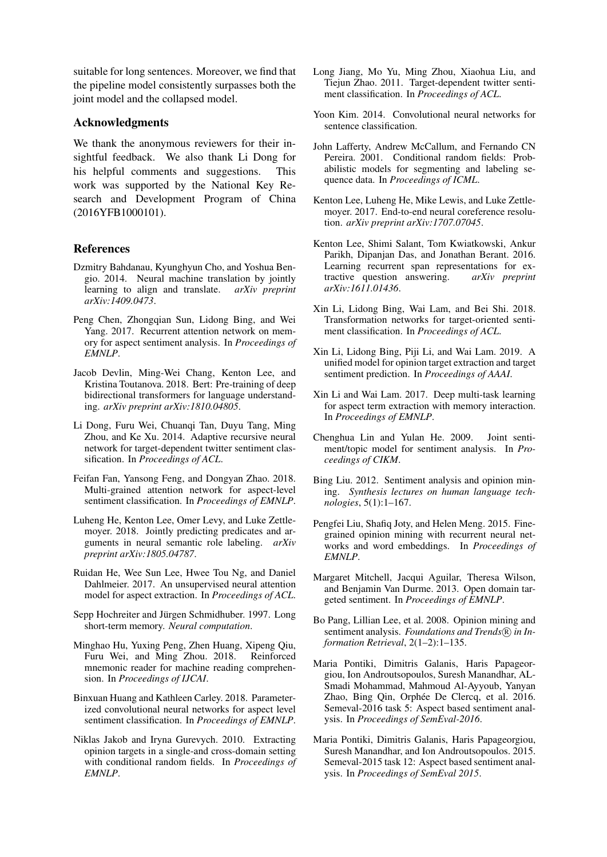suitable for long sentences. Moreover, we find that the pipeline model consistently surpasses both the joint model and the collapsed model.

# Acknowledgments

We thank the anonymous reviewers for their insightful feedback. We also thank Li Dong for his helpful comments and suggestions. This work was supported by the National Key Research and Development Program of China (2016YFB1000101).

## **References**

- <span id="page-8-21"></span>Dzmitry Bahdanau, Kyunghyun Cho, and Yoshua Bengio. 2014. Neural machine translation by jointly learning to align and translate. *arXiv preprint arXiv:1409.0473*.
- <span id="page-8-9"></span>Peng Chen, Zhongqian Sun, Lidong Bing, and Wei Yang. 2017. Recurrent attention network on memory for aspect sentiment analysis. In *Proceedings of EMNLP*.
- <span id="page-8-15"></span>Jacob Devlin, Ming-Wei Chang, Kenton Lee, and Kristina Toutanova. 2018. Bert: Pre-training of deep bidirectional transformers for language understanding. *arXiv preprint arXiv:1810.04805*.
- <span id="page-8-8"></span>Li Dong, Furu Wei, Chuanqi Tan, Duyu Tang, Ming Zhou, and Ke Xu. 2014. Adaptive recursive neural network for target-dependent twitter sentiment classification. In *Proceedings of ACL*.
- <span id="page-8-11"></span>Feifan Fan, Yansong Feng, and Dongyan Zhao. 2018. Multi-grained attention network for aspect-level sentiment classification. In *Proceedings of EMNLP*.
- <span id="page-8-23"></span>Luheng He, Kenton Lee, Omer Levy, and Luke Zettlemoyer. 2018. Jointly predicting predicates and arguments in neural semantic role labeling. *arXiv preprint arXiv:1805.04787*.
- <span id="page-8-6"></span>Ruidan He, Wee Sun Lee, Hwee Tou Ng, and Daniel Dahlmeier. 2017. An unsupervised neural attention model for aspect extraction. In *Proceedings of ACL*.
- <span id="page-8-17"></span>Sepp Hochreiter and Jürgen Schmidhuber. 1997. Long short-term memory. *Neural computation*.
- <span id="page-8-20"></span>Minghao Hu, Yuxing Peng, Zhen Huang, Xipeng Qiu, Furu Wei, and Ming Zhou. 2018. Reinforced mnemonic reader for machine reading comprehension. In *Proceedings of IJCAI*.
- <span id="page-8-18"></span>Binxuan Huang and Kathleen Carley. 2018. Parameterized convolutional neural networks for aspect level sentiment classification. In *Proceedings of EMNLP*.
- <span id="page-8-4"></span>Niklas Jakob and Iryna Gurevych. 2010. Extracting opinion targets in a single-and cross-domain setting with conditional random fields. In *Proceedings of EMNLP*.
- <span id="page-8-7"></span>Long Jiang, Mo Yu, Ming Zhou, Xiaohua Liu, and Tiejun Zhao. 2011. Target-dependent twitter sentiment classification. In *Proceedings of ACL*.
- <span id="page-8-3"></span>Yoon Kim. 2014. Convolutional neural networks for sentence classification.
- <span id="page-8-16"></span>John Lafferty, Andrew McCallum, and Fernando CN Pereira. 2001. Conditional random fields: Probabilistic models for segmenting and labeling sequence data. In *Proceedings of ICML*.
- <span id="page-8-22"></span>Kenton Lee, Luheng He, Mike Lewis, and Luke Zettlemoyer. 2017. End-to-end neural coreference resolution. *arXiv preprint arXiv:1707.07045*.
- <span id="page-8-14"></span>Kenton Lee, Shimi Salant, Tom Kwiatkowski, Ankur Parikh, Dipanjan Das, and Jonathan Berant. 2016. Learning recurrent span representations for ex-<br>tractive question answering. *arXiv preprint* tractive question answering. *arXiv:1611.01436*.
- <span id="page-8-10"></span>Xin Li, Lidong Bing, Wai Lam, and Bei Shi. 2018. Transformation networks for target-oriented sentiment classification. In *Proceedings of ACL*.
- <span id="page-8-13"></span>Xin Li, Lidong Bing, Piji Li, and Wai Lam. 2019. A unified model for opinion target extraction and target sentiment prediction. In *Proceedings of AAAI*.
- <span id="page-8-19"></span>Xin Li and Wai Lam. 2017. Deep multi-task learning for aspect term extraction with memory interaction. In *Proceedings of EMNLP*.
- <span id="page-8-2"></span>Chenghua Lin and Yulan He. 2009. Joint sentiment/topic model for sentiment analysis. In *Proceedings of CIKM*.
- <span id="page-8-1"></span>Bing Liu. 2012. Sentiment analysis and opinion mining. *Synthesis lectures on human language technologies*, 5(1):1–167.
- <span id="page-8-5"></span>Pengfei Liu, Shafiq Joty, and Helen Meng. 2015. Finegrained opinion mining with recurrent neural networks and word embeddings. In *Proceedings of EMNLP*.
- <span id="page-8-12"></span>Margaret Mitchell, Jacqui Aguilar, Theresa Wilson, and Benjamin Van Durme. 2013. Open domain targeted sentiment. In *Proceedings of EMNLP*.
- <span id="page-8-0"></span>Bo Pang, Lillian Lee, et al. 2008. Opinion mining and sentiment analysis. *Foundations and Trends*(R) in In*formation Retrieval*, 2(1–2):1–135.
- <span id="page-8-25"></span>Maria Pontiki, Dimitris Galanis, Haris Papageorgiou, Ion Androutsopoulos, Suresh Manandhar, AL-Smadi Mohammad, Mahmoud Al-Ayyoub, Yanyan Zhao, Bing Qin, Orphée De Clercq, et al. 2016. Semeval-2016 task 5: Aspect based sentiment analysis. In *Proceedings of SemEval-2016*.
- <span id="page-8-24"></span>Maria Pontiki, Dimitris Galanis, Haris Papageorgiou, Suresh Manandhar, and Ion Androutsopoulos. 2015. Semeval-2015 task 12: Aspect based sentiment analysis. In *Proceedings of SemEval 2015*.